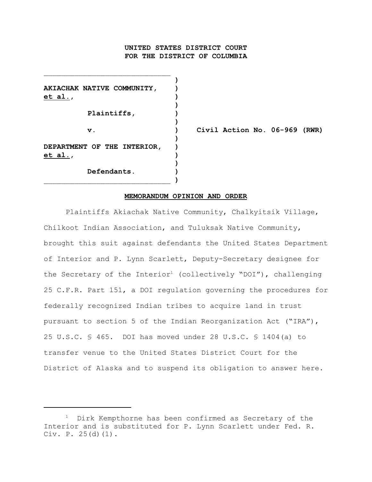# **UNITED STATES DISTRICT COURT FOR THE DISTRICT OF COLUMBIA**

**)**

**)**

**)**

**)**

**AKIACHAK NATIVE COMMUNITY, ) et al., ) Plaintiffs, ) ) DEPARTMENT OF THE INTERIOR, ) et al., ) Defendants. )**

\_\_\_\_\_\_\_\_\_\_\_\_\_\_\_\_\_\_\_\_\_\_\_\_\_\_\_\_\_ **)**

 $\mathcal{L}_\text{max}$ 

**v. ) Civil Action No. 06-969 (RWR)**

### **MEMORANDUM OPINION AND ORDER**

Plaintiffs Akiachak Native Community, Chalkyitsik Village, Chilkoot Indian Association, and Tuluksak Native Community, brought this suit against defendants the United States Department of Interior and P. Lynn Scarlett, Deputy-Secretary designee for the Secretary of the Interior<sup>1</sup> (collectively "DOI"), challenging 25 C.F.R. Part 151, a DOI regulation governing the procedures for federally recognized Indian tribes to acquire land in trust pursuant to section 5 of the Indian Reorganization Act ("IRA"), 25 U.S.C. § 465. DOI has moved under 28 U.S.C. § 1404(a) to transfer venue to the United States District Court for the District of Alaska and to suspend its obligation to answer here.

 $1$  Dirk Kempthorne has been confirmed as Secretary of the Interior and is substituted for P. Lynn Scarlett under Fed. R. Civ. P. 25(d)(1).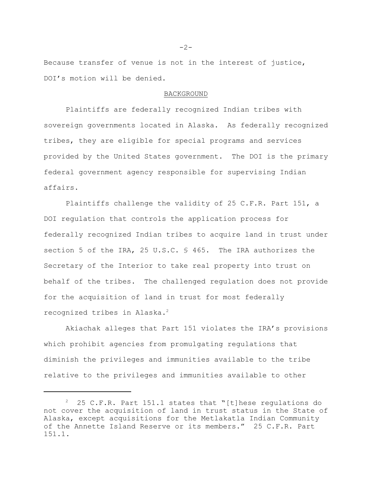Because transfer of venue is not in the interest of justice, DOI's motion will be denied.

### BACKGROUND

Plaintiffs are federally recognized Indian tribes with sovereign governments located in Alaska. As federally recognized tribes, they are eligible for special programs and services provided by the United States government. The DOI is the primary federal government agency responsible for supervising Indian affairs.

Plaintiffs challenge the validity of 25 C.F.R. Part 151, a DOI regulation that controls the application process for federally recognized Indian tribes to acquire land in trust under section 5 of the IRA, 25 U.S.C. § 465. The IRA authorizes the Secretary of the Interior to take real property into trust on behalf of the tribes. The challenged regulation does not provide for the acquisition of land in trust for most federally recognized tribes in Alaska. 2

Akiachak alleges that Part 151 violates the IRA's provisions which prohibit agencies from promulgating regulations that diminish the privileges and immunities available to the tribe relative to the privileges and immunities available to other

 $-2-$ 

 $25$  C.F.R. Part 151.1 states that "[t]hese regulations do not cover the acquisition of land in trust status in the State of Alaska, except acquisitions for the Metlakatla Indian Community of the Annette Island Reserve or its members." 25 C.F.R. Part 151.1.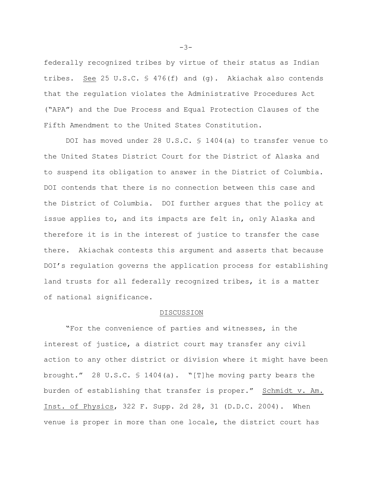federally recognized tribes by virtue of their status as Indian tribes. See 25 U.S.C.  $\frac{1}{2}$  476(f) and (g). Akiachak also contends that the regulation violates the Administrative Procedures Act ("APA") and the Due Process and Equal Protection Clauses of the Fifth Amendment to the United States Constitution.

DOI has moved under 28 U.S.C. § 1404(a) to transfer venue to the United States District Court for the District of Alaska and to suspend its obligation to answer in the District of Columbia. DOI contends that there is no connection between this case and the District of Columbia. DOI further argues that the policy at issue applies to, and its impacts are felt in, only Alaska and therefore it is in the interest of justice to transfer the case there. Akiachak contests this argument and asserts that because DOI's regulation governs the application process for establishing land trusts for all federally recognized tribes, it is a matter of national significance.

#### DISCUSSION

"For the convenience of parties and witnesses, in the interest of justice, a district court may transfer any civil action to any other district or division where it might have been brought." 28 U.S.C.  $\frac{1404}{a}$ . "[T]he moving party bears the burden of establishing that transfer is proper." Schmidt v. Am. Inst. of Physics, 322 F. Supp. 2d 28, 31 (D.D.C. 2004). When venue is proper in more than one locale, the district court has

-3-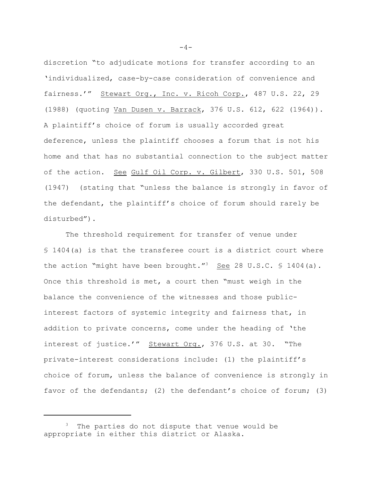discretion "to adjudicate motions for transfer according to an 'individualized, case-by-case consideration of convenience and fairness.'" Stewart Org., Inc. v. Ricoh Corp., 487 U.S. 22, 29 (1988) (quoting Van Dusen v. Barrack, 376 U.S. 612, 622 (1964)). A plaintiff's choice of forum is usually accorded great deference, unless the plaintiff chooses a forum that is not his home and that has no substantial connection to the subject matter of the action. See Gulf Oil Corp. v. Gilbert, 330 U.S. 501, 508 (1947) (stating that "unless the balance is strongly in favor of the defendant, the plaintiff's choice of forum should rarely be disturbed").

The threshold requirement for transfer of venue under § 1404(a) is that the transferee court is a district court where the action "might have been brought."<sup>3</sup> See 28 U.S.C.  $\frac{1404}{a}$ . Once this threshold is met, a court then "must weigh in the balance the convenience of the witnesses and those publicinterest factors of systemic integrity and fairness that, in addition to private concerns, come under the heading of 'the interest of justice.'" Stewart Org., 376 U.S. at 30. "The private-interest considerations include: (1) the plaintiff's choice of forum, unless the balance of convenience is strongly in favor of the defendants; (2) the defendant's choice of forum; (3)

 $-4-$ 

The parties do not dispute that venue would be appropriate in either this district or Alaska.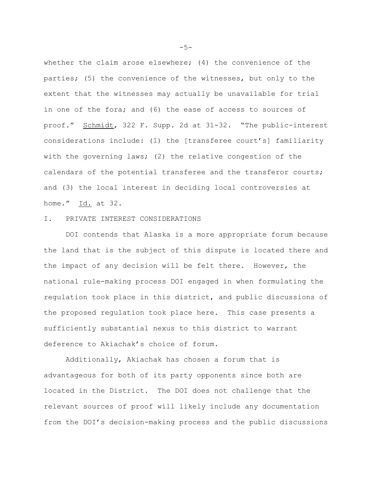whether the claim arose elsewhere; (4) the convenience of the parties; (5) the convenience of the witnesses, but only to the extent that the witnesses may actually be unavailable for trial in one of the fora; and (6) the ease of access to sources of proof." Schmidt, 322 F. Supp. 2d at 31-32. "The public-interest considerations include: (1) the [transferee court's] familiarity with the governing laws; (2) the relative congestion of the calendars of the potential transferee and the transferor courts; and (3) the local interest in deciding local controversies at home." Id. at 32.

### I. PRIVATE INTEREST CONSIDERATIONS

DOI contends that Alaska is a more appropriate forum because the land that is the subject of this dispute is located there and the impact of any decision will be felt there. However, the national rule-making process DOI engaged in when formulating the regulation took place in this district, and public discussions of the proposed regulation took place here. This case presents a sufficiently substantial nexus to this district to warrant deference to Akiachak's choice of forum.

Additionally, Akiachak has chosen a forum that is advantageous for both of its party opponents since both are located in the District. The DOI does not challenge that the relevant sources of proof will likely include any documentation from the DOI's decision-making process and the public discussions

 $-5-$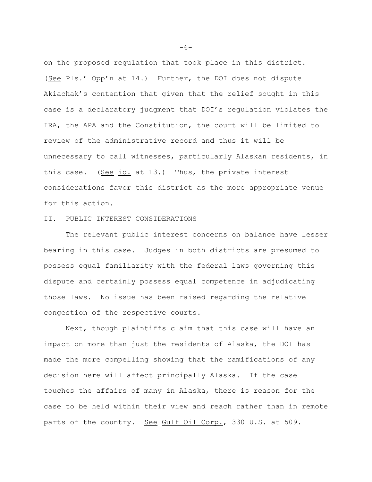on the proposed regulation that took place in this district. (See Pls.' Opp'n at 14.) Further, the DOI does not dispute Akiachak's contention that given that the relief sought in this case is a declaratory judgment that DOI's regulation violates the IRA, the APA and the Constitution, the court will be limited to review of the administrative record and thus it will be unnecessary to call witnesses, particularly Alaskan residents, in this case. (See id. at 13.) Thus, the private interest considerations favor this district as the more appropriate venue for this action.

### II. PUBLIC INTEREST CONSIDERATIONS

The relevant public interest concerns on balance have lesser bearing in this case. Judges in both districts are presumed to possess equal familiarity with the federal laws governing this dispute and certainly possess equal competence in adjudicating those laws. No issue has been raised regarding the relative congestion of the respective courts.

Next, though plaintiffs claim that this case will have an impact on more than just the residents of Alaska, the DOI has made the more compelling showing that the ramifications of any decision here will affect principally Alaska. If the case touches the affairs of many in Alaska, there is reason for the case to be held within their view and reach rather than in remote parts of the country. See Gulf Oil Corp., 330 U.S. at 509.

 $-6-$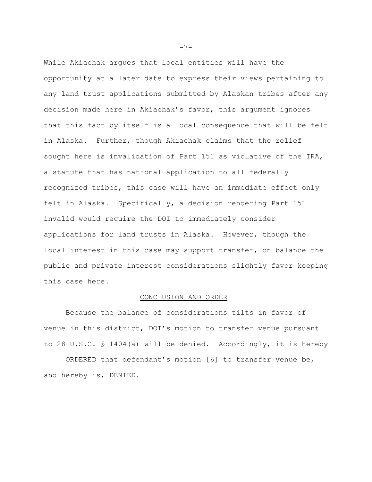While Akiachak argues that local entities will have the opportunity at a later date to express their views pertaining to any land trust applications submitted by Alaskan tribes after any decision made here in Akiachak's favor, this argument ignores that this fact by itself is a local consequence that will be felt in Alaska. Further, though Akiachak claims that the relief sought here is invalidation of Part 151 as violative of the IRA, a statute that has national application to all federally recognized tribes, this case will have an immediate effect only felt in Alaska. Specifically, a decision rendering Part 151 invalid would require the DOI to immediately consider applications for land trusts in Alaska. However, though the local interest in this case may support transfer, on balance the public and private interest considerations slightly favor keeping this case here.

## CONCLUSION AND ORDER

Because the balance of considerations tilts in favor of venue in this district, DOI's motion to transfer venue pursuant to 28 U.S.C. § 1404(a) will be denied. Accordingly, it is hereby

ORDERED that defendant's motion [6] to transfer venue be, and hereby is, DENIED.

 $-7-$